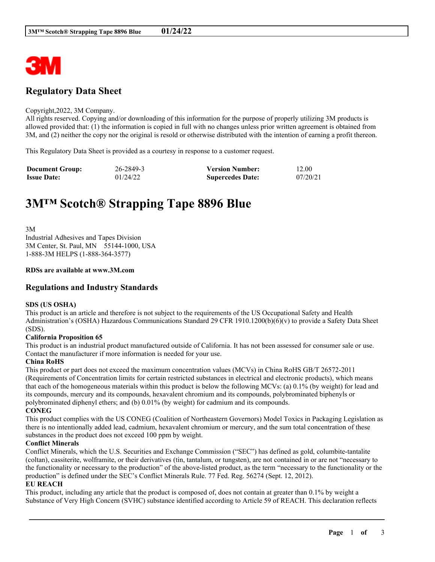

# **Regulatory Data Sheet**

#### Copyright,2022, 3M Company.

All rights reserved. Copying and/or downloading of this information for the purpose of properly utilizing 3M products is allowed provided that: (1) the information is copied in full with no changes unless prior written agreement is obtained from 3M, and (2) neither the copy nor the original is resold or otherwise distributed with the intention of earning a profit thereon.

This Regulatory Data Sheet is provided as a courtesy in response to a customer request.

| <b>Document Group:</b> | 26-2849-3 | <b>Version Number:</b>  | 12.00    |
|------------------------|-----------|-------------------------|----------|
| <b>Issue Date:</b>     | 01/24/22  | <b>Supercedes Date:</b> | 07/20/21 |

# **3M™ Scotch® Strapping Tape 8896 Blue**

3M Industrial Adhesives and Tapes Division 3M Center, St. Paul, MN 55144-1000, USA 1-888-3M HELPS (1-888-364-3577)

#### **RDSs are available at www.3M.com**

# **Regulations and Industry Standards**

#### **SDS (US OSHA)**

This product is an article and therefore is not subject to the requirements of the US Occupational Safety and Health Administration's (OSHA) Hazardous Communications Standard 29 CFR 1910.1200(b)(6)(v) to provide a Safety Data Sheet (SDS).

#### **California Proposition 65**

This product is an industrial product manufactured outside of California. It has not been assessed for consumer sale or use. Contact the manufacturer if more information is needed for your use.

#### **China RoHS**

This product or part does not exceed the maximum concentration values (MCVs) in China RoHS GB/T 26572-2011 (Requirements of Concentration limits for certain restricted substances in electrical and electronic products), which means that each of the homogeneous materials within this product is below the following MCVs: (a) 0.1% (by weight) for lead and its compounds, mercury and its compounds, hexavalent chromium and its compounds, polybrominated biphenyls or polybrominated diphenyl ethers; and (b) 0.01% (by weight) for cadmium and its compounds. **CONEG**

This product complies with the US CONEG (Coalition of Northeastern Governors) Model Toxics in Packaging Legislation as there is no intentionally added lead, cadmium, hexavalent chromium or mercury, and the sum total concentration of these substances in the product does not exceed 100 ppm by weight.

#### **Conflict Minerals**

Conflict Minerals, which the U.S. Securities and Exchange Commission ("SEC") has defined as gold, columbite-tantalite (coltan), cassiterite, wolframite, or their derivatives (tin, tantalum, or tungsten), are not contained in or are not "necessary to the functionality or necessary to the production" of the above-listed product, as the term "necessary to the functionality or the production" is defined under the SEC's Conflict Minerals Rule. 77 Fed. Reg. 56274 (Sept. 12, 2012).

#### **EU REACH**

This product, including any article that the product is composed of, does not contain at greater than 0.1% by weight a Substance of Very High Concern (SVHC) substance identified according to Article 59 of REACH. This declaration reflects

\_\_\_\_\_\_\_\_\_\_\_\_\_\_\_\_\_\_\_\_\_\_\_\_\_\_\_\_\_\_\_\_\_\_\_\_\_\_\_\_\_\_\_\_\_\_\_\_\_\_\_\_\_\_\_\_\_\_\_\_\_\_\_\_\_\_\_\_\_\_\_\_\_\_\_\_\_\_\_\_\_\_\_\_\_\_\_\_\_\_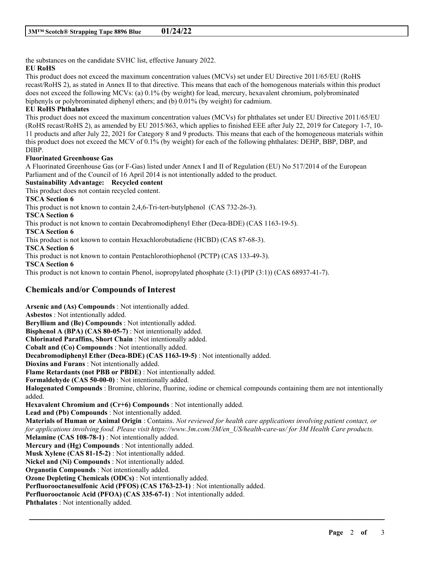the substances on the candidate SVHC list, effective January 2022.

# **EU RoHS**

This product does not exceed the maximum concentration values (MCVs) set under EU Directive 2011/65/EU (RoHS recast/RoHS 2), as stated in Annex II to that directive. This means that each of the homogenous materials within this product does not exceed the following MCVs: (a) 0.1% (by weight) for lead, mercury, hexavalent chromium, polybrominated biphenyls or polybrominated diphenyl ethers; and (b) 0.01% (by weight) for cadmium.

# **EU RoHS Phthalates**

This product does not exceed the maximum concentration values (MCVs) for phthalates set under EU Directive 2011/65/EU (RoHS recast/RoHS 2), as amended by EU 2015/863, which applies to finished EEE after July 22, 2019 for Category 1-7, 10- 11 products and after July 22, 2021 for Category 8 and 9 products. This means that each of the homogeneous materials within this product does not exceed the MCV of 0.1% (by weight) for each of the following phthalates: DEHP, BBP, DBP, and DIBP.

#### **Fluorinated Greenhouse Gas**

A Fluorinated Greenhouse Gas (or F-Gas) listed under Annex I and II of Regulation (EU) No 517/2014 of the European Parliament and of the Council of 16 April 2014 is not intentionally added to the product.

# **Sustainability Advantage: Recycled content**

This product does not contain recycled content.

#### **TSCA Section 6**

This product is not known to contain 2,4,6-Tri-tert-butylphenol (CAS 732-26-3).

**TSCA Section 6**

This product is not known to contain Decabromodiphenyl Ether (Deca-BDE) (CAS 1163-19-5).

**TSCA Section 6**

This product is not known to contain Hexachlorobutadiene (HCBD) (CAS 87-68-3).

**TSCA Section 6**

This product is not known to contain Pentachlorothiophenol (PCTP) (CAS 133-49-3).

**TSCA Section 6**

This product is not known to contain Phenol, isopropylated phosphate (3:1) (PIP (3:1)) (CAS 68937-41-7).

# **Chemicals and/or Compounds of Interest**

**Arsenic and (As) Compounds** : Not intentionally added. **Asbestos** : Not intentionally added. **Beryllium and (Be) Compounds** : Not intentionally added. **Bisphenol A (BPA) (CAS 80-05-7)** : Not intentionally added. **Chlorinated Paraffins, Short Chain** : Not intentionally added. **Cobalt and (Co) Compounds** : Not intentionally added. **Decabromodiphenyl Ether (Deca-BDE) (CAS 1163-19-5)** : Not intentionally added. **Dioxins and Furans** : Not intentionally added. **Flame Retardants (not PBB or PBDE)** : Not intentionally added. **Formaldehyde (CAS 50-00-0)** : Not intentionally added. **Halogenated Compounds** : Bromine, chlorine, fluorine, iodine or chemical compounds containing them are not intentionally added. **Hexavalent Chromium and (Cr+6) Compounds** : Not intentionally added. **Lead and (Pb) Compounds** : Not intentionally added. Materials of Human or Animal Origin: Contains. Not reviewed for health care applications involving patient contact, or *for applications involving food. Please visit https://www.3m.com/3M/en\_US/health-care-us/ for 3M Health Care products.* **Melamine (CAS 108-78-1)** : Not intentionally added. **Mercury and (Hg) Compounds** : Not intentionally added. **Musk Xylene (CAS 81-15-2)** : Not intentionally added. **Nickel and (Ni) Compounds** : Not intentionally added. **Organotin Compounds** : Not intentionally added. **Ozone Depleting Chemicals (ODCs)** : Not intentionally added. **Perfluorooctanesulfonic Acid (PFOS) (CAS 1763-23-1)** : Not intentionally added. **Perfluorooctanoic Acid (PFOA) (CAS 335-67-1)** : Not intentionally added. **Phthalates** : Not intentionally added.

\_\_\_\_\_\_\_\_\_\_\_\_\_\_\_\_\_\_\_\_\_\_\_\_\_\_\_\_\_\_\_\_\_\_\_\_\_\_\_\_\_\_\_\_\_\_\_\_\_\_\_\_\_\_\_\_\_\_\_\_\_\_\_\_\_\_\_\_\_\_\_\_\_\_\_\_\_\_\_\_\_\_\_\_\_\_\_\_\_\_